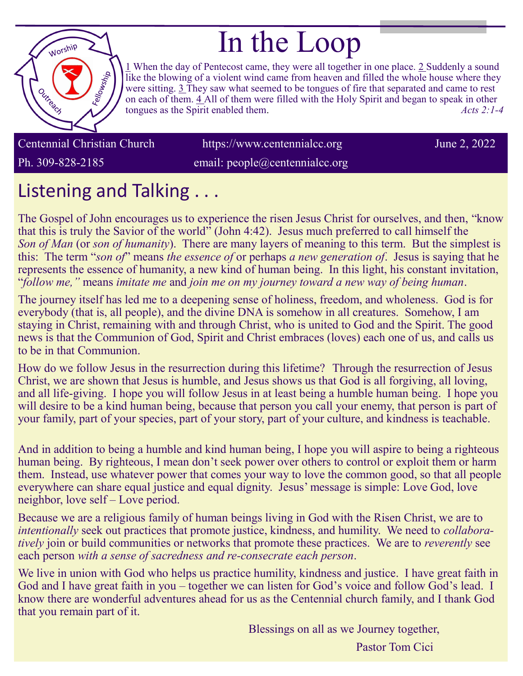

# In the Loop

[1](https://www.biblestudytools.com/acts/2-1.html) When the day of Pentecost came, they were all together in one place. [2 S](https://www.biblestudytools.com/acts/2-2.html)uddenly a sound like the blowing of a violent wind came from heaven and filled the whole house where they were sitting. [3 Th](https://www.biblestudytools.com/acts/2-3.html)ey saw what seemed to be tongues of fire that separated and came to rest on each of them. [4 Al](https://www.biblestudytools.com/acts/2-4.html)l of them were filled with the Holy Spirit and began to speak in other tongues as the Spirit enabled them. *Acts 2:1-4*

Centennial Christian Church https://www.centennialcc.org June 2, 2022

Ph. 309-828-2185 email: people@centennialcc.org

## Listening and Talking . . .

The Gospel of John encourages us to experience the risen Jesus Christ for ourselves, and then, "know that this is truly the Savior of the world" (John 4:42). Jesus much preferred to call himself the *Son of Man* (or *son of humanity*). There are many layers of meaning to this term. But the simplest is this: The term "*son of*" means *the essence of* or perhaps *a new generation of*. Jesus is saying that he represents the essence of humanity, a new kind of human being. In this light, his constant invitation, "*follow me,"* means *imitate me* and *join me on my journey toward a new way of being human*.

The journey itself has led me to a deepening sense of holiness, freedom, and wholeness. God is for everybody (that is, all people), and the divine DNA is somehow in all creatures. Somehow, I am staying in Christ, remaining with and through Christ, who is united to God and the Spirit. The good news is that the Communion of God, Spirit and Christ embraces (loves) each one of us, and calls us to be in that Communion.

How do we follow Jesus in the resurrection during this lifetime? Through the resurrection of Jesus Christ, we are shown that Jesus is humble, and Jesus shows us that God is all forgiving, all loving, and all life-giving. I hope you will follow Jesus in at least being a humble human being. I hope you will desire to be a kind human being, because that person you call your enemy, that person is part of your family, part of your species, part of your story, part of your culture, and kindness is teachable.

And in addition to being a humble and kind human being, I hope you will aspire to being a righteous human being. By righteous, I mean don't seek power over others to control or exploit them or harm them. Instead, use whatever power that comes your way to love the common good, so that all people everywhere can share equal justice and equal dignity. Jesus' message is simple: Love God, love neighbor, love self – Love period.

Because we are a religious family of human beings living in God with the Risen Christ, we are to *intentionally* seek out practices that promote justice, kindness, and humility. We need to *collaboratively* join or build communities or networks that promote these practices. We are to *reverently* see each person *with a sense of sacredness and re-consecrate each person*.

We live in union with God who helps us practice humility, kindness and justice. I have great faith in God and I have great faith in you – together we can listen for God's voice and follow God's lead. I know there are wonderful adventures ahead for us as the Centennial church family, and I thank God that you remain part of it.

> Blessings on all as we Journey together, Pastor Tom Cici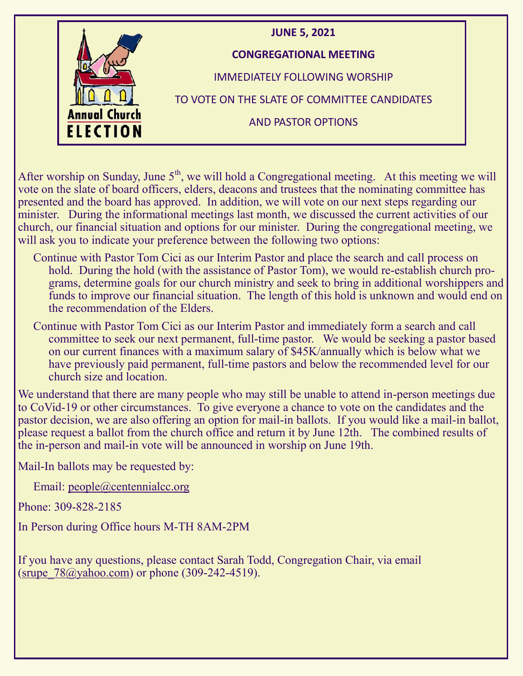

After worship on Sunday, June  $5<sup>th</sup>$ , we will hold a Congregational meeting. At this meeting we will vote on the slate of board officers, elders, deacons and trustees that the nominating committee has presented and the board has approved. In addition, we will vote on our next steps regarding our minister. During the informational meetings last month, we discussed the current activities of our church, our financial situation and options for our minister. During the congregational meeting, we will ask you to indicate your preference between the following two options:

- Continue with Pastor Tom Cici as our Interim Pastor and place the search and call process on hold. During the hold (with the assistance of Pastor Tom), we would re-establish church programs, determine goals for our church ministry and seek to bring in additional worshippers and funds to improve our financial situation. The length of this hold is unknown and would end on the recommendation of the Elders.
- Continue with Pastor Tom Cici as our Interim Pastor and immediately form a search and call committee to seek our next permanent, full-time pastor. We would be seeking a pastor based on our current finances with a maximum salary of \$45K/annually which is below what we have previously paid permanent, full-time pastors and below the recommended level for our church size and location.

We understand that there are many people who may still be unable to attend in-person meetings due to CoVid-19 or other circumstances. To give everyone a chance to vote on the candidates and the pastor decision, we are also offering an option for mail-in ballots. If you would like a mail-in ballot, please request a ballot from the church office and return it by June 12th. The combined results of the in-person and mail-in vote will be announced in worship on June 19th.

Mail-In ballots may be requested by:

Email: [people@centennialcc.org](mailto:people@centennialcc.org)

Phone: 309-828-2185

In Person during Office hours M-TH 8AM-2PM

If you have any questions, please contact Sarah Todd, Congregation Chair, via email (srupe  $78@$ yahoo.com) or phone (309-242-4519).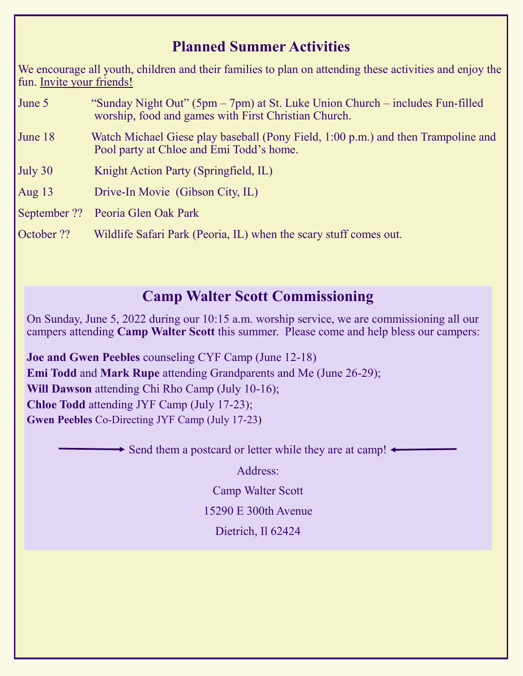### **Planned Summer Activities**

We encourage all youth, children and their families to plan on attending these activities and enjoy the fun. Invite your friends!

- June 5 "Sunday Night Out" (5pm 7pm) at St. Luke Union Church includes Fun-filled worship, food and games with First Christian Church. June 18 Watch Michael Giese play baseball (Pony Field, 1:00 p.m.) and then Trampoline and Pool party at Chloe and Emi Todd's home. July 30 Knight Action Party (Springfield, IL) Aug 13 Drive-In Movie (Gibson City, IL) September ?? Peoria Glen Oak Park
- October ?? Wildlife Safari Park (Peoria, IL) when the scary stuff comes out.

### **Camp Walter Scott Commissioning**

On Sunday, June 5, 2022 during our 10:15 a.m. worship service, we are commissioning all our campers attending **Camp Walter Scott** this summer. Please come and help bless our campers:

**Joe and Gwen Peebles** counseling CYF Camp (June 12-18) **Emi Todd** and **Mark Rupe** attending Grandparents and Me (June 26-29); **Will Dawson** attending Chi Rho Camp (July 10-16); **Chloe Todd** attending JYF Camp (July 17-23); **Gwen Peebles** Co-Directing JYF Camp (July 17-23)

 $\rightarrow$  Send them a postcard or letter while they are at camp!  $\leftarrow$ 

Address:

Camp Walter Scott

15290 E 300th Avenue

Dietrich, Il 62424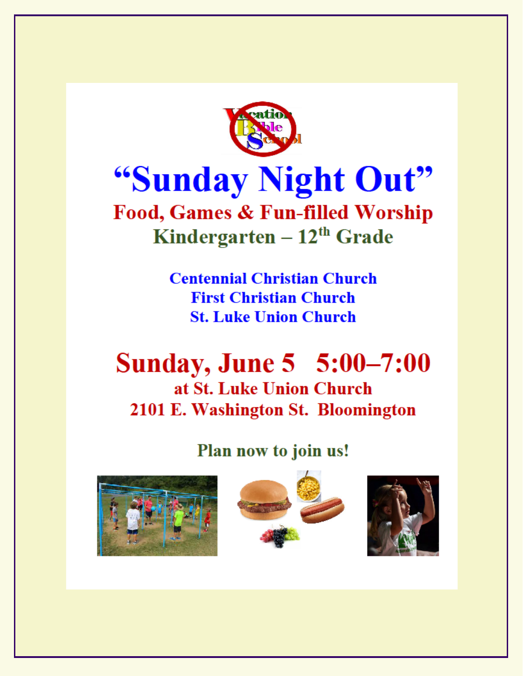

# "Sunday Night Out"

## Food, Games & Fun-filled Worship Kindergarten  $-12^{th}$  Grade

**Centennial Christian Church First Christian Church St. Luke Union Church** 

## **Sunday, June 5 5:00–7:00** at St. Luke Union Church 2101 E. Washington St. Bloomington

### Plan now to join us!





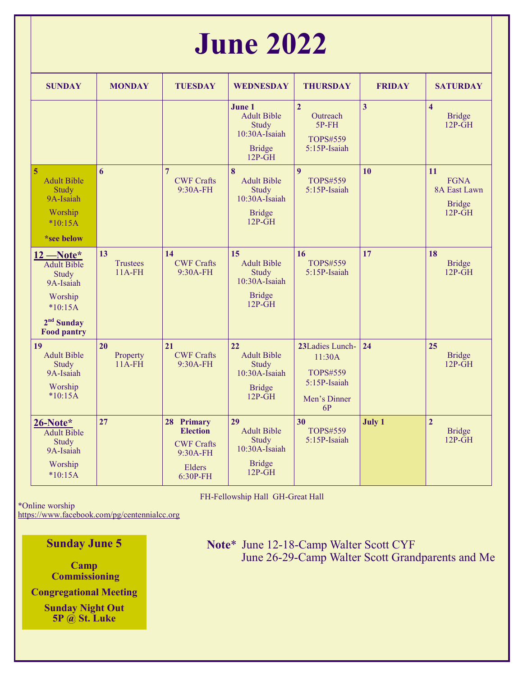# **June 2022**

| <b>SUNDAY</b>                                                                                                         | <b>MONDAY</b>                         | <b>TUESDAY</b>                                                                         | <b>WEDNESDAY</b>                                                                              | <b>THURSDAY</b>                                                                    | <b>FRIDAY</b> | <b>SATURDAY</b>                                                 |
|-----------------------------------------------------------------------------------------------------------------------|---------------------------------------|----------------------------------------------------------------------------------------|-----------------------------------------------------------------------------------------------|------------------------------------------------------------------------------------|---------------|-----------------------------------------------------------------|
|                                                                                                                       |                                       |                                                                                        | June 1<br><b>Adult Bible</b><br>Study<br>$10:30A$ -Isaiah<br><b>Bridge</b><br>$12P\text{-}GH$ | $\overline{2}$<br><b>Outreach</b><br>$5P$ - $FH$<br>TOPS#559<br>5:15P-Isaiah       | 3             | $\overline{\mathbf{4}}$<br><b>Bridge</b><br>$12P-\overline{GH}$ |
| 5<br><b>Adult Bible</b><br>Study<br>9A-Isaiah<br>Worship<br>$*10:15A$<br>*see below                                   | 6                                     | $\overline{7}$<br><b>CWF Crafts</b><br>9:30A-FH                                        | 8<br><b>Adult Bible</b><br>Study<br>10:30A-Isaiah<br><b>Bridge</b><br>$12P-GH$                | $\boldsymbol{Q}$<br>TOPS#559<br>5:15P-Isaiah                                       | 10            | 11<br><b>FGNA</b><br>8A East Lawn<br><b>Bridge</b><br>$12P-GH$  |
| $12$ –Note*<br><b>Adult Bible</b><br>Study<br>9A-Isaiah<br>Worship<br>$*10:15A$<br>$2nd$ Sunday<br><b>Food pantry</b> | 13<br><b>Trustees</b><br>$11A$ - $FH$ | 14<br><b>CWF Crafts</b><br>9:30A-FH                                                    | 15<br><b>Adult Bible</b><br>Study<br>10:30A-Isaiah<br><b>Bridge</b><br>$12P-GH$               | 16<br>TOPS#559<br>5:15P-Isaiah                                                     | 17            | 18<br><b>Bridge</b><br>$12P-\tilde{G}H$                         |
| 19<br><b>Adult Bible</b><br>Study<br>9A-Isaiah<br>Worship<br>$*10:15A$                                                | 20<br>Property<br>$11A$ - $FH$        | 21<br><b>CWF Crafts</b><br>9:30A-FH                                                    | 22<br><b>Adult Bible</b><br>Study<br>10:30A-Isaiah<br><b>Bridge</b><br>$12P-GH$               | 23Ladies Lunch-<br>11:30A<br><b>TOPS#559</b><br>5:15P-Isaiah<br>Men's Dinner<br>6P | 24            | 25<br><b>Bridge</b><br>$12P-\tilde{G}H$                         |
| 26-Note*<br><b>Adult Bible</b><br>Study<br>9A-Isaiah<br>Worship<br>$*10:15A$                                          | 27                                    | 28 Primary<br><b>Election</b><br><b>CWF Crafts</b><br>$9:30A-FH$<br>Elders<br>6:30P-FH | 29<br><b>Adult Bible</b><br>Study<br>$10:30A$ -Isaiah<br><b>Bridge</b><br>$12P\text{-}GH$     | 30<br><b>TOPS#559</b><br>5:15P-Isaiah                                              | <b>July 1</b> | $\overline{2}$<br><b>Bridge</b><br>$12P-\overline{GH}$          |

FH-Fellowship Hall GH-Great Hall

\*Online worship

<https://www.facebook.com/pg/centennialcc.org>

### **Sunday June 5**

**Camp Commissioning**

**Congregational Meeting**

**Sunday Night Out 5P @ St. Luke**

 **Note**\* June 12-18-Camp Walter Scott CYF June 26-29-Camp Walter Scott Grandparents and Me